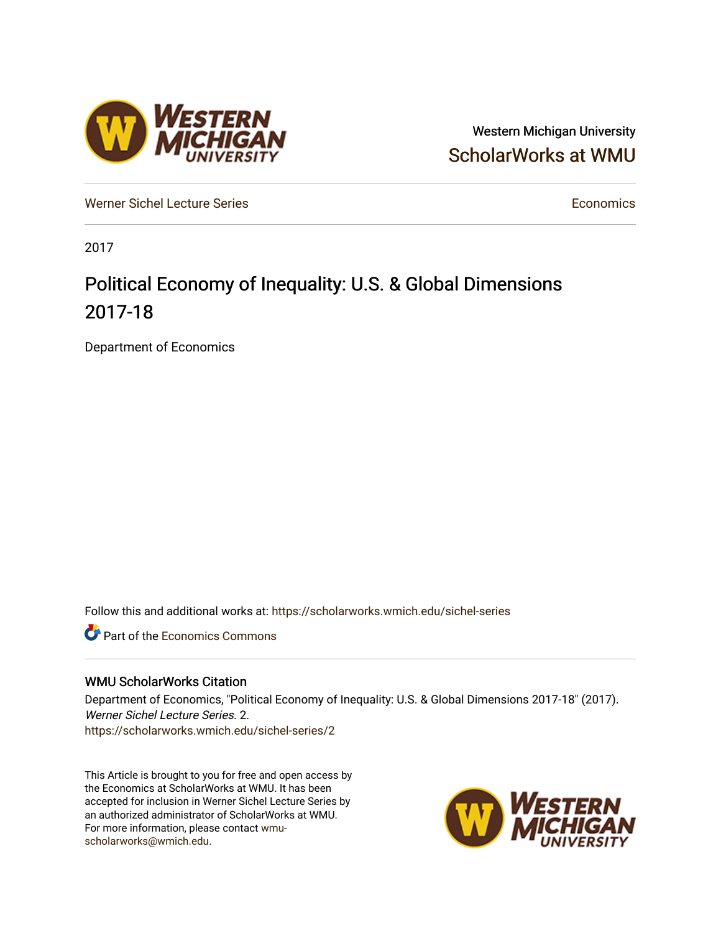## Western Michigan University [ScholarWorks at WMU](https://scholarworks.wmich.edu/)

[Werner Sichel Lecture Series](https://scholarworks.wmich.edu/sichel-series) **Economics** [Economics](https://scholarworks.wmich.edu/economics) **Economics** 

2017

## Political Economy of Inequality: U.S. & Global Dimensions 2017-18

Department of Economics

Follow this and additional works at: [https://scholarworks.wmich.edu/sichel-series](https://scholarworks.wmich.edu/sichel-series?utm_source=scholarworks.wmich.edu%2Fsichel-series%2F2&utm_medium=PDF&utm_campaign=PDFCoverPages) 

**C** Part of the [Economics Commons](http://network.bepress.com/hgg/discipline/340?utm_source=scholarworks.wmich.edu%2Fsichel-series%2F2&utm_medium=PDF&utm_campaign=PDFCoverPages)

## WMU ScholarWorks Citation

Department of Economics, "Political Economy of Inequality: U.S. & Global Dimensions 2017-18" (2017). Werner Sichel Lecture Series. 2. [https://scholarworks.wmich.edu/sichel-series/2](https://scholarworks.wmich.edu/sichel-series/2?utm_source=scholarworks.wmich.edu%2Fsichel-series%2F2&utm_medium=PDF&utm_campaign=PDFCoverPages) 

This Article is brought to you for free and open access by the Economics at ScholarWorks at WMU. It has been accepted for inclusion in Werner Sichel Lecture Series by an authorized administrator of ScholarWorks at WMU. For more information, please contact [wmu](mailto:wmu-scholarworks@wmich.edu)[scholarworks@wmich.edu.](mailto:wmu-scholarworks@wmich.edu)



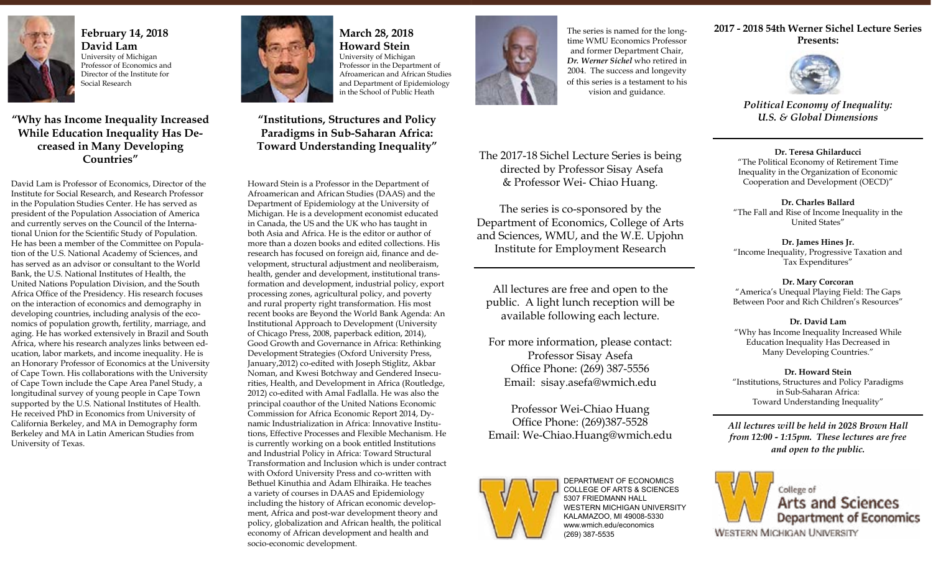

**February 14, 2018 David Lam** University of Michigan Professor of Economics and Director of the Institute for Social Research

**"Why has Income Inequality Increased While Education Inequality Has Decreased in Many Developing Countries"**

David Lam is Professor of Economics, Director of the Institute for Social Research, and Research Professor in the Population Studies Center. He has served as president of the Population Association of America and currently serves on the Council of the International Union for the Scientific Study of Population. He has been a member of the Committee on Population of the U.S. National Academy of Sciences, and has served as an advisor or consultant to the World Bank, the U.S. National Institutes of Health, the United Nations Population Division, and the South Africa Office of the Presidency. His research focuses on the interaction of economics and demography in developing countries, including analysis of the economics of population growth, fertility, marriage, and aging. He has worked extensively in Brazil and South Africa, where his research analyzes links between education, labor markets, and income inequality. He is an Honorary Professor of Economics at the University of Cape Town. His collaborations with the University of Cape Town include the Cape Area Panel Study, a longitudinal survey of young people in Cape Town supported by the U.S. National Institutes of Health. He received PhD in Economics from University of California Berkeley, and MA in Demography form Berkeley and MA in Latin American Studies from University of Texas.



**March 28, 2018 Howard Stein** University of Michigan Professor in the Department of Afroamerican and African Studies and Department of Epidemiology in the School of Public Heath

**"Institutions, Structures and Policy Paradigms in Sub-Saharan Africa: Toward Understanding Inequality"**

Howard Stein is a Professor in the Department of Afroamerican and African Studies (DAAS) and the Department of Epidemiology at the University of Michigan. He is a development economist educated in Canada, the US and the UK who has taught in both Asia and Africa. He is the editor or author of more than a dozen books and edited collections. His research has focused on foreign aid, finance and development, structural adjustment and neoliberaism, health, gender and development, institutional transformation and development, industrial policy, export processing zones, agricultural policy, and poverty and rural property right transformation. His most recent books are Beyond the World Bank Agenda: An Institutional Approach to Development (University of Chicago Press, 2008, paperback edition, 2014), Good Growth and Governance in Africa: Rethinking Development Strategies (Oxford University Press, January,2012) co-edited with Joseph Stiglitz, Akbar Noman, and Kwesi Botchway and Gendered Insecurities, Health, and Development in Africa (Routledge, 2012) co-edited with Amal Fadlalla. He was also the principal coauthor of the United Nations Economic Commission for Africa Economic Report 2014, Dynamic Industrialization in Africa: Innovative Institutions, Effective Processes and Flexible Mechanism. He is currently working on a book entitled Institutions and Industrial Policy in Africa: Toward Structural Transformation and Inclusion which is under contract with Oxford University Press and co-written with Bethuel Kinuthia and Adam Elhiraika. He teaches a variety of courses in DAAS and Epidemiology including the history of African economic development, Africa and post-war development theory and policy, globalization and African health, the political economy of African development and health and socio-economic development.



The series is named for the longtime WMU Economics Professor and former Department Chair, *Dr. Werner Sichel* who retired in 2004. The success and longevity of this series is a testament to his vision and guidance.

The 2017-18 Sichel Lecture Series is being directed by Professor Sisay Asefa & Professor Wei- Chiao Huang.

The series is co-sponsored by the Department of Economics, College of Arts and Sciences, WMU, and the W.E. Upjohn Institute for Employment Research

All lectures are free and open to the public. A light lunch reception will be available following each lecture.

For more information, please contact: Professor Sisay Asefa Office Phone: (269) 387-5556 Email: sisay.asefa@wmich.edu

Professor Wei-Chiao Huang Office Phone: (269)387-5528 Email: We-Chiao.Huang@wmich.edu



DEPARTMENT OF ECONOMICS COLLEGE OF ARTS & SCIENCES 5307 FRIEDMANN HALL WESTERN MICHIGAN UNIVERSITY KALAMAZOO, MI 49008-5330 www.wmich.edu/economics (269) 387-5535

**2017 - 2018 54th Werner Sichel Lecture Series Presents:**



*Political Economy of Inequality: U.S. & Global Dimensions*

**Dr. Teresa Ghilarducci** "The Political Economy of Retirement Time Inequality in the Organization of Economic Cooperation and Development (OECD)"

**Dr. Charles Ballard** "The Fall and Rise of Income Inequality in the United States"

**Dr. James Hines Jr.**  "Income Inequality, Progressive Taxation and Tax Expenditures"

**Dr. Mary Corcoran** "America's Unequal Playing Field: The Gaps Between Poor and Rich Children's Resources"

**Dr. David Lam** "Why has Income Inequality Increased While Education Inequality Has Decreased in Many Developing Countries."

**Dr. Howard Stein** "Institutions, Structures and Policy Paradigms in Sub-Saharan Africa: Toward Understanding Inequality"

*All lectures will be held in 2028 Brown Hall from 12:00 - 1:15pm. These lectures are free and open to the public.*